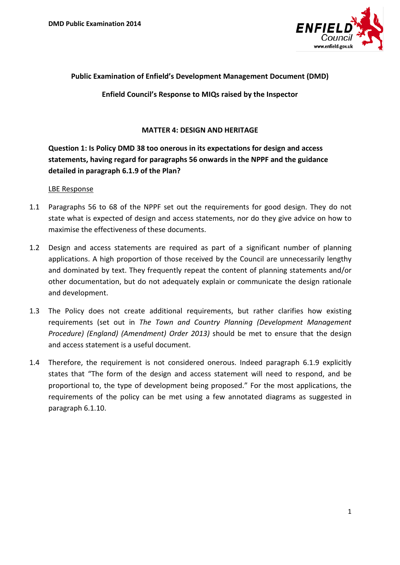

### **Public Examination of Enfield's Development Management Document (DMD)**

**Enfield Council's Response to MIQs raised by the Inspector** 

### **MATTER 4: DESIGN AND HERITAGE**

# **Question 1: Is Policy DMD 38 too onerous in its expectations for design and access statements, having regard for paragraphs 56 onwards in the NPPF and the guidance detailed in paragraph 6.1.9 of the Plan?**

#### LBE Response

- 1.1 Paragraphs 56 to 68 of the NPPF set out the requirements for good design. They do not state what is expected of design and access statements, nor do they give advice on how to maximise the effectiveness of these documents.
- 1.2 Design and access statements are required as part of a significant number of planning applications. A high proportion of those received by the Council are unnecessarily lengthy and dominated by text. They frequently repeat the content of planning statements and/or other documentation, but do not adequately explain or communicate the design rationale and development.
- 1.3 The Policy does not create additional requirements, but rather clarifies how existing requirements (set out in *The Town and Country Planning (Development Management Procedure) (England) (Amendment) Order 2013)* should be met to ensure that the design and access statement is a useful document.
- 1.4 Therefore, the requirement is not considered onerous. Indeed paragraph 6.1.9 explicitly states that "The form of the design and access statement will need to respond, and be proportional to, the type of development being proposed." For the most applications, the requirements of the policy can be met using a few annotated diagrams as suggested in paragraph 6.1.10.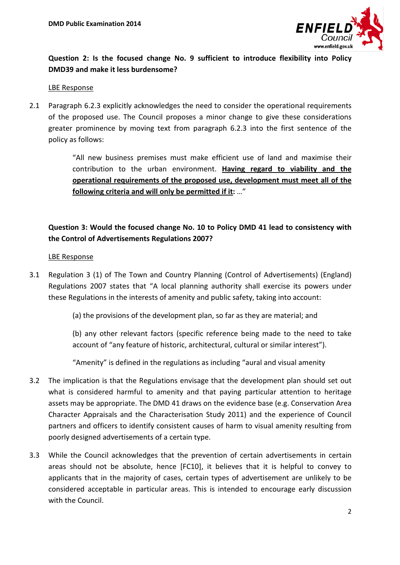

## **Question 2: Is the focused change No. 9 sufficient to introduce flexibility into Policy DMD39 and make it less burdensome?**

#### LBE Response

2.1 Paragraph 6.2.3 explicitly acknowledges the need to consider the operational requirements of the proposed use. The Council proposes a minor change to give these considerations greater prominence by moving text from paragraph 6.2.3 into the first sentence of the policy as follows:

> "All new business premises must make efficient use of land and maximise their contribution to the urban environment. **Having regard to viability and the operational requirements of the proposed use, development must meet all of the following criteria and will only be permitted if it:** …"

## **Question 3: Would the focused change No. 10 to Policy DMD 41 lead to consistency with the Control of Advertisements Regulations 2007?**

### LBE Response

- 3.1 Regulation 3 (1) of The Town and Country Planning (Control of Advertisements) (England) Regulations 2007 states that "A local planning authority shall exercise its powers under these Regulations in the interests of amenity and public safety, taking into account:
	- (a) the provisions of the development plan, so far as they are material; and

(b) any other relevant factors (specific reference being made to the need to take account of "any feature of historic, architectural, cultural or similar interest").

"Amenity" is defined in the regulations as including "aural and visual amenity

- 3.2 The implication is that the Regulations envisage that the development plan should set out what is considered harmful to amenity and that paying particular attention to heritage assets may be appropriate. The DMD 41 draws on the evidence base (e.g. Conservation Area Character Appraisals and the Characterisation Study 2011) and the experience of Council partners and officers to identify consistent causes of harm to visual amenity resulting from poorly designed advertisements of a certain type.
- 3.3 While the Council acknowledges that the prevention of certain advertisements in certain areas should not be absolute, hence [FC10], it believes that it is helpful to convey to applicants that in the majority of cases, certain types of advertisement are unlikely to be considered acceptable in particular areas. This is intended to encourage early discussion with the Council.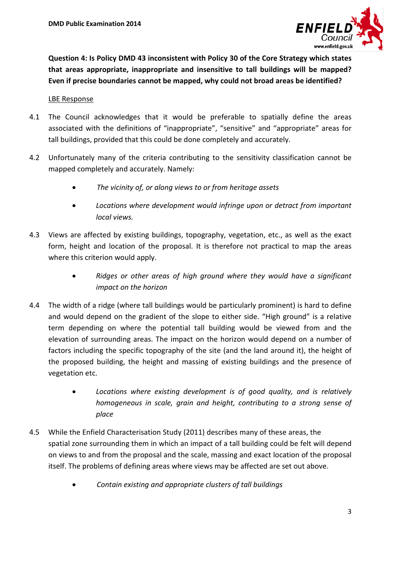

**Question 4: Is Policy DMD 43 inconsistent with Policy 30 of the Core Strategy which states that areas appropriate, inappropriate and insensitive to tall buildings will be mapped? Even if precise boundaries cannot be mapped, why could not broad areas be identified?**

### LBE Response

- 4.1 The Council acknowledges that it would be preferable to spatially define the areas associated with the definitions of "inappropriate", "sensitive" and "appropriate" areas for tall buildings, provided that this could be done completely and accurately.
- 4.2 Unfortunately many of the criteria contributing to the sensitivity classification cannot be mapped completely and accurately. Namely:
	- *The vicinity of, or along views to or from heritage assets*
	- *Locations where development would infringe upon or detract from important local views.*
- 4.3 Views are affected by existing buildings, topography, vegetation, etc., as well as the exact form, height and location of the proposal. It is therefore not practical to map the areas where this criterion would apply.
	- *Ridges or other areas of high ground where they would have a significant impact on the horizon*
- 4.4 The width of a ridge (where tall buildings would be particularly prominent) is hard to define and would depend on the gradient of the slope to either side. "High ground" is a relative term depending on where the potential tall building would be viewed from and the elevation of surrounding areas. The impact on the horizon would depend on a number of factors including the specific topography of the site (and the land around it), the height of the proposed building, the height and massing of existing buildings and the presence of vegetation etc.
	- *Locations where existing development is of good quality, and is relatively homogeneous in scale, grain and height, contributing to a strong sense of place*
- 4.5 While the Enfield Characterisation Study (2011) describes many of these areas, the spatial zone surrounding them in which an impact of a tall building could be felt will depend on views to and from the proposal and the scale, massing and exact location of the proposal itself. The problems of defining areas where views may be affected are set out above.
	- *Contain existing and appropriate clusters of tall buildings*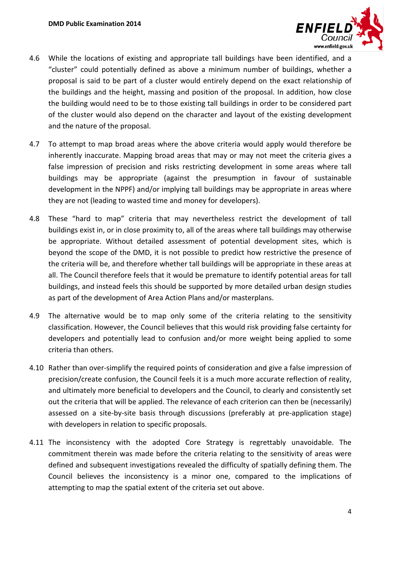

- 4.6 While the locations of existing and appropriate tall buildings have been identified, and a "cluster" could potentially defined as above a minimum number of buildings, whether a proposal is said to be part of a cluster would entirely depend on the exact relationship of the buildings and the height, massing and position of the proposal. In addition, how close the building would need to be to those existing tall buildings in order to be considered part of the cluster would also depend on the character and layout of the existing development and the nature of the proposal.
- 4.7 To attempt to map broad areas where the above criteria would apply would therefore be inherently inaccurate. Mapping broad areas that may or may not meet the criteria gives a false impression of precision and risks restricting development in some areas where tall buildings may be appropriate (against the presumption in favour of sustainable development in the NPPF) and/or implying tall buildings may be appropriate in areas where they are not (leading to wasted time and money for developers).
- 4.8 These "hard to map" criteria that may nevertheless restrict the development of tall buildings exist in, or in close proximity to, all of the areas where tall buildings may otherwise be appropriate. Without detailed assessment of potential development sites, which is beyond the scope of the DMD, it is not possible to predict how restrictive the presence of the criteria will be, and therefore whether tall buildings will be appropriate in these areas at all. The Council therefore feels that it would be premature to identify potential areas for tall buildings, and instead feels this should be supported by more detailed urban design studies as part of the development of Area Action Plans and/or masterplans.
- 4.9 The alternative would be to map only some of the criteria relating to the sensitivity classification. However, the Council believes that this would risk providing false certainty for developers and potentially lead to confusion and/or more weight being applied to some criteria than others.
- 4.10 Rather than over-simplify the required points of consideration and give a false impression of precision/create confusion, the Council feels it is a much more accurate reflection of reality, and ultimately more beneficial to developers and the Council, to clearly and consistently set out the criteria that will be applied. The relevance of each criterion can then be (necessarily) assessed on a site-by-site basis through discussions (preferably at pre-application stage) with developers in relation to specific proposals.
- 4.11 The inconsistency with the adopted Core Strategy is regrettably unavoidable. The commitment therein was made before the criteria relating to the sensitivity of areas were defined and subsequent investigations revealed the difficulty of spatially defining them. The Council believes the inconsistency is a minor one, compared to the implications of attempting to map the spatial extent of the criteria set out above.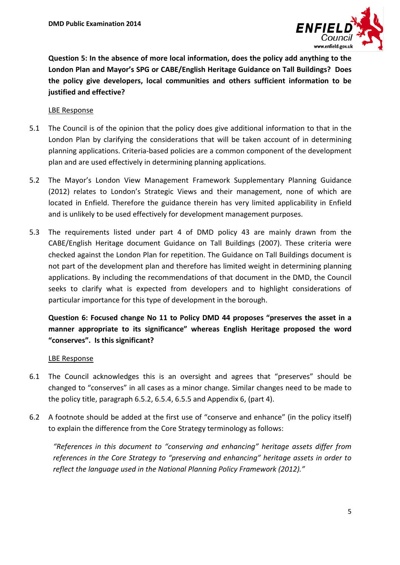

**Question 5: In the absence of more local information, does the policy add anything to the London Plan and Mayor's SPG or CABE/English Heritage Guidance on Tall Buildings? Does the policy give developers, local communities and others sufficient information to be justified and effective?**

### LBE Response

- 5.1 The Council is of the opinion that the policy does give additional information to that in the London Plan by clarifying the considerations that will be taken account of in determining planning applications. Criteria-based policies are a common component of the development plan and are used effectively in determining planning applications.
- 5.2 The Mayor's London View Management Framework Supplementary Planning Guidance (2012) relates to London's Strategic Views and their management, none of which are located in Enfield. Therefore the guidance therein has very limited applicability in Enfield and is unlikely to be used effectively for development management purposes.
- 5.3 The requirements listed under part 4 of DMD policy 43 are mainly drawn from the CABE/English Heritage document Guidance on Tall Buildings (2007). These criteria were checked against the London Plan for repetition. The Guidance on Tall Buildings document is not part of the development plan and therefore has limited weight in determining planning applications. By including the recommendations of that document in the DMD, the Council seeks to clarify what is expected from developers and to highlight considerations of particular importance for this type of development in the borough.

# **Question 6: Focused change No 11 to Policy DMD 44 proposes "preserves the asset in a manner appropriate to its significance" whereas English Heritage proposed the word "conserves". Is this significant?**

#### LBE Response

- 6.1 The Council acknowledges this is an oversight and agrees that "preserves" should be changed to "conserves" in all cases as a minor change. Similar changes need to be made to the policy title, paragraph 6.5.2, 6.5.4, 6.5.5 and Appendix 6, (part 4).
- 6.2 A footnote should be added at the first use of "conserve and enhance" (in the policy itself) to explain the difference from the Core Strategy terminology as follows:

*"References in this document to "conserving and enhancing" heritage assets differ from references in the Core Strategy to "preserving and enhancing" heritage assets in order to reflect the language used in the National Planning Policy Framework (2012)."*